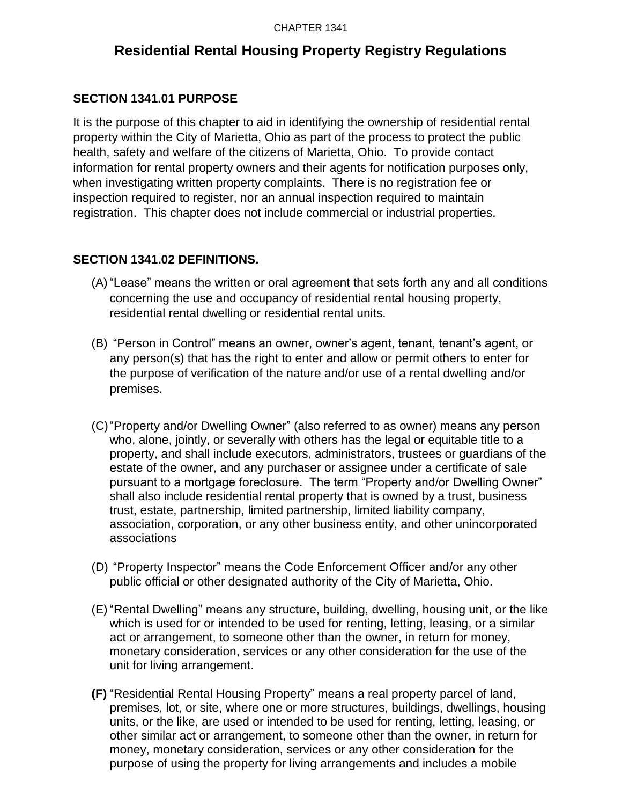# **Residential Rental Housing Property Registry Regulations**

## **SECTION 1341.01 PURPOSE**

It is the purpose of this chapter to aid in identifying the ownership of residential rental property within the City of Marietta, Ohio as part of the process to protect the public health, safety and welfare of the citizens of Marietta, Ohio. To provide contact information for rental property owners and their agents for notification purposes only, when investigating written property complaints. There is no registration fee or inspection required to register, nor an annual inspection required to maintain registration. This chapter does not include commercial or industrial properties.

## **SECTION 1341.02 DEFINITIONS.**

- (A) "Lease" means the written or oral agreement that sets forth any and all conditions concerning the use and occupancy of residential rental housing property, residential rental dwelling or residential rental units.
- (B) "Person in Control" means an owner, owner's agent, tenant, tenant's agent, or any person(s) that has the right to enter and allow or permit others to enter for the purpose of verification of the nature and/or use of a rental dwelling and/or premises.
- (C)"Property and/or Dwelling Owner" (also referred to as owner) means any person who, alone, jointly, or severally with others has the legal or equitable title to a property, and shall include executors, administrators, trustees or guardians of the estate of the owner, and any purchaser or assignee under a certificate of sale pursuant to a mortgage foreclosure. The term "Property and/or Dwelling Owner" shall also include residential rental property that is owned by a trust, business trust, estate, partnership, limited partnership, limited liability company, association, corporation, or any other business entity, and other unincorporated associations
- (D) "Property Inspector" means the Code Enforcement Officer and/or any other public official or other designated authority of the City of Marietta, Ohio.
- (E) "Rental Dwelling" means any structure, building, dwelling, housing unit, or the like which is used for or intended to be used for renting, letting, leasing, or a similar act or arrangement, to someone other than the owner, in return for money, monetary consideration, services or any other consideration for the use of the unit for living arrangement.
- **(F)** "Residential Rental Housing Property" means a real property parcel of land, premises, lot, or site, where one or more structures, buildings, dwellings, housing units, or the like, are used or intended to be used for renting, letting, leasing, or other similar act or arrangement, to someone other than the owner, in return for money, monetary consideration, services or any other consideration for the purpose of using the property for living arrangements and includes a mobile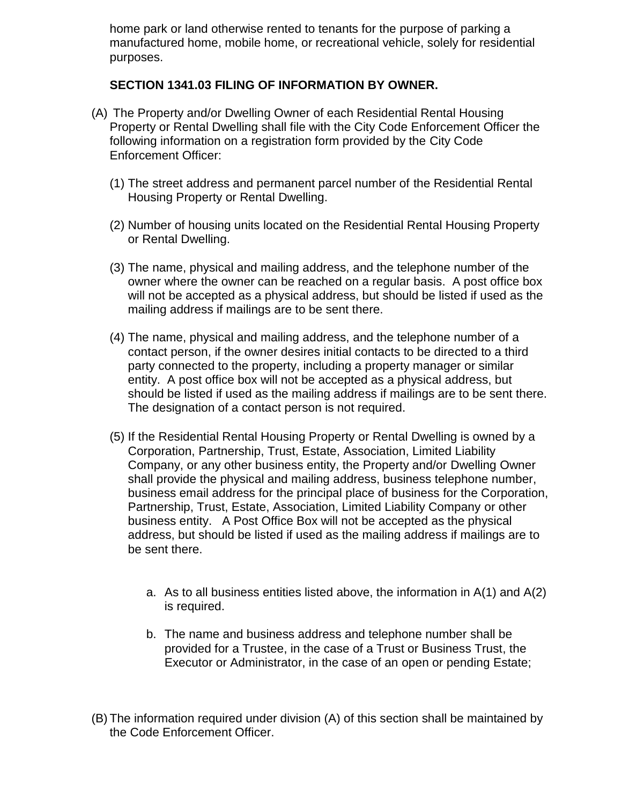home park or land otherwise rented to tenants for the purpose of parking a manufactured home, mobile home, or recreational vehicle, solely for residential purposes.

#### **SECTION 1341.03 FILING OF INFORMATION BY OWNER.**

- (A) The Property and/or Dwelling Owner of each Residential Rental Housing Property or Rental Dwelling shall file with the City Code Enforcement Officer the following information on a registration form provided by the City Code Enforcement Officer:
	- (1) The street address and permanent parcel number of the Residential Rental Housing Property or Rental Dwelling.
	- (2) Number of housing units located on the Residential Rental Housing Property or Rental Dwelling.
	- (3) The name, physical and mailing address, and the telephone number of the owner where the owner can be reached on a regular basis. A post office box will not be accepted as a physical address, but should be listed if used as the mailing address if mailings are to be sent there.
	- (4) The name, physical and mailing address, and the telephone number of a contact person, if the owner desires initial contacts to be directed to a third party connected to the property, including a property manager or similar entity. A post office box will not be accepted as a physical address, but should be listed if used as the mailing address if mailings are to be sent there. The designation of a contact person is not required.
	- (5) If the Residential Rental Housing Property or Rental Dwelling is owned by a Corporation, Partnership, Trust, Estate, Association, Limited Liability Company, or any other business entity, the Property and/or Dwelling Owner shall provide the physical and mailing address, business telephone number, business email address for the principal place of business for the Corporation, Partnership, Trust, Estate, Association, Limited Liability Company or other business entity. A Post Office Box will not be accepted as the physical address, but should be listed if used as the mailing address if mailings are to be sent there.
		- a. As to all business entities listed above, the information in  $A(1)$  and  $A(2)$ is required.
		- b. The name and business address and telephone number shall be provided for a Trustee, in the case of a Trust or Business Trust, the Executor or Administrator, in the case of an open or pending Estate;
- (B) The information required under division (A) of this section shall be maintained by the Code Enforcement Officer.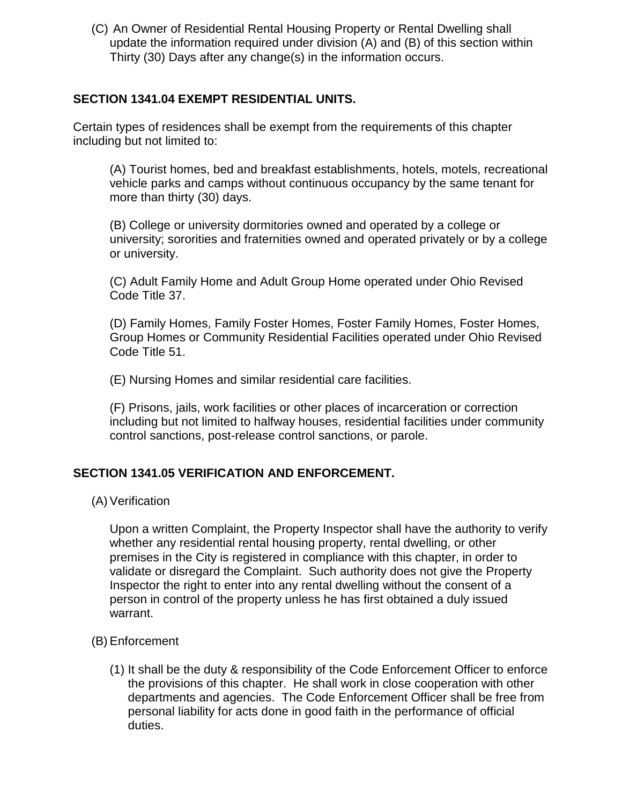(C) An Owner of Residential Rental Housing Property or Rental Dwelling shall update the information required under division (A) and (B) of this section within Thirty (30) Days after any change(s) in the information occurs.

#### **SECTION 1341.04 EXEMPT RESIDENTIAL UNITS.**

Certain types of residences shall be exempt from the requirements of this chapter including but not limited to:

(A) Tourist homes, bed and breakfast establishments, hotels, motels, recreational vehicle parks and camps without continuous occupancy by the same tenant for more than thirty (30) days.

(B) College or university dormitories owned and operated by a college or university; sororities and fraternities owned and operated privately or by a college or university.

(C) Adult Family Home and Adult Group Home operated under Ohio Revised Code Title 37.

(D) Family Homes, Family Foster Homes, Foster Family Homes, Foster Homes, Group Homes or Community Residential Facilities operated under Ohio Revised Code Title 51.

(E) Nursing Homes and similar residential care facilities.

(F) Prisons, jails, work facilities or other places of incarceration or correction including but not limited to halfway houses, residential facilities under community control sanctions, post-release control sanctions, or parole.

#### **SECTION 1341.05 VERIFICATION AND ENFORCEMENT.**

(A) Verification

Upon a written Complaint, the Property Inspector shall have the authority to verify whether any residential rental housing property, rental dwelling, or other premises in the City is registered in compliance with this chapter, in order to validate or disregard the Complaint. Such authority does not give the Property Inspector the right to enter into any rental dwelling without the consent of a person in control of the property unless he has first obtained a duly issued warrant.

- (B)Enforcement
	- (1) It shall be the duty & responsibility of the Code Enforcement Officer to enforce the provisions of this chapter. He shall work in close cooperation with other departments and agencies. The Code Enforcement Officer shall be free from personal liability for acts done in good faith in the performance of official duties.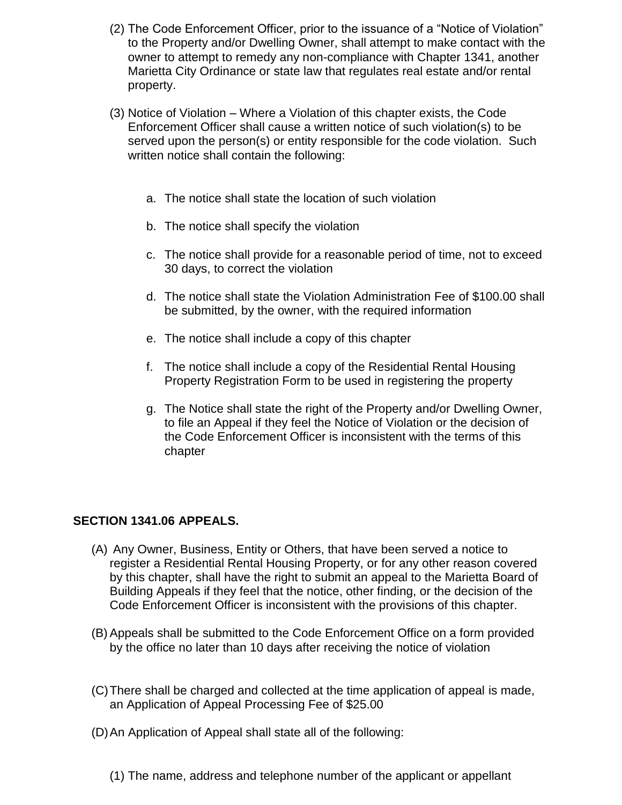- (2) The Code Enforcement Officer, prior to the issuance of a "Notice of Violation" to the Property and/or Dwelling Owner, shall attempt to make contact with the owner to attempt to remedy any non-compliance with Chapter 1341, another Marietta City Ordinance or state law that regulates real estate and/or rental property.
- (3) Notice of Violation Where a Violation of this chapter exists, the Code Enforcement Officer shall cause a written notice of such violation(s) to be served upon the person(s) or entity responsible for the code violation. Such written notice shall contain the following:
	- a. The notice shall state the location of such violation
	- b. The notice shall specify the violation
	- c. The notice shall provide for a reasonable period of time, not to exceed 30 days, to correct the violation
	- d. The notice shall state the Violation Administration Fee of \$100.00 shall be submitted, by the owner, with the required information
	- e. The notice shall include a copy of this chapter
	- f. The notice shall include a copy of the Residential Rental Housing Property Registration Form to be used in registering the property
	- g. The Notice shall state the right of the Property and/or Dwelling Owner, to file an Appeal if they feel the Notice of Violation or the decision of the Code Enforcement Officer is inconsistent with the terms of this chapter

## **SECTION 1341.06 APPEALS.**

- (A) Any Owner, Business, Entity or Others, that have been served a notice to register a Residential Rental Housing Property, or for any other reason covered by this chapter, shall have the right to submit an appeal to the Marietta Board of Building Appeals if they feel that the notice, other finding, or the decision of the Code Enforcement Officer is inconsistent with the provisions of this chapter.
- (B)Appeals shall be submitted to the Code Enforcement Office on a form provided by the office no later than 10 days after receiving the notice of violation
- (C)There shall be charged and collected at the time application of appeal is made, an Application of Appeal Processing Fee of \$25.00
- (D)An Application of Appeal shall state all of the following:
	- (1) The name, address and telephone number of the applicant or appellant